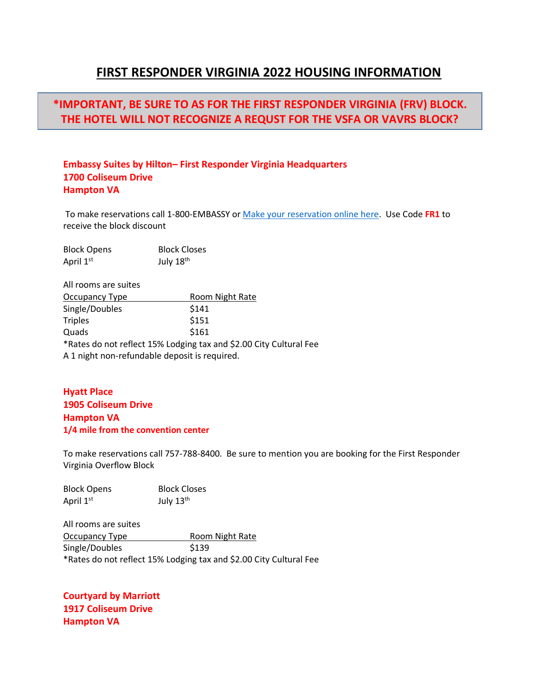## **FIRST RESPONDER VIRGINIA 2022 HOUSING INFORMATION**

# **\*IMPORTANT, BE SURE TO AS FOR THE FIRST RESPONDER VIRGINIA (FRV) BLOCK. THE HOTEL WILL NOT RECOGNIZE A REQUST FOR THE VSFA OR VAVRS BLOCK?**

#### **Embassy Suites by Hilton– First Responder Virginia Headquarters 1700 Coliseum Drive Hampton VA**

To make reservations call 1-800-EMBASSY or [Make your reservation online here.](https://nam10.safelinks.protection.outlook.com/?url=https%3A%2F%2Fwww.hilton.com%2Fen%2Fbook%2Freservation%2Fdeeplink%2F%3Fctyhocn%3DPHFCCES%26groupCode%3DCESFR1%26arrivaldate%3D2022-08-09%26departuredate%3D2022-08-14%26cid%3DOM%2CWW%2CHILTONLINK%2CEN%2CDirectLink%26fromId%3DHILTONLINKDIRECT&data=04%7C01%7CMeagan.Runne%40atriumhospitality.com%7C06d7fd1f82f9419266f908da0698b959%7C2a940736346f4580951607fd1e7cc52d%7C0%7C0%7C637829550287998530%7CUnknown%7CTWFpbGZsb3d8eyJWIjoiMC4wLjAwMDAiLCJQIjoiV2luMzIiLCJBTiI6Ik1haWwiLCJXVCI6Mn0%3D%7C3000&sdata=jz47VVmpcHbDoBmQ2woWLp%2FKiESgzwc67Fn%2BjtUwc2s%3D&reserved=0) Use Code **FR1** to receive the block discount

| <b>Block Opens</b> | <b>Block Closes</b> |
|--------------------|---------------------|
| April 1st          | July 18th           |

All rooms are suites Occupancy Type Room Night Rate Single/Doubles \$141 Triples \$151 Quads \$161 \*Rates do not reflect 15% Lodging tax and \$2.00 City Cultural Fee A 1 night non-refundable deposit is required.

### **Hyatt Place 1905 Coliseum Drive Hampton VA 1/4 mile from the convention center**

To make reservations call 757-788-8400. Be sure to mention you are booking for the First Responder Virginia Overflow Block

| <b>Block Opens</b> | <b>Block Closes</b> |
|--------------------|---------------------|
| April 1st          | July 13th           |

All rooms are suites Occupancy Type Room Night Rate Single/Doubles \$139 \*Rates do not reflect 15% Lodging tax and \$2.00 City Cultural Fee

**Courtyard by Marriott 1917 Coliseum Drive Hampton VA**